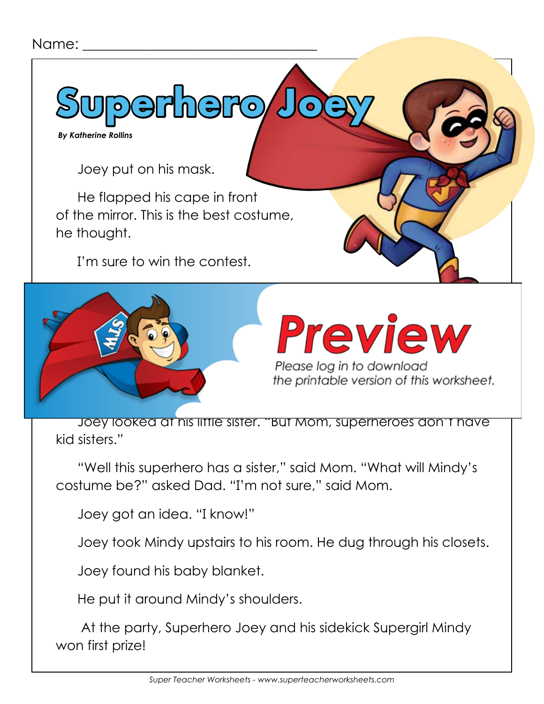## Name:

**Superhero Joey**

 *By Katherine Rollins*

Joey put on his mask.

He flapped his cape in front of the mirror. This is the best costume, he thought.

I'm sure to win the contest.



## Preview

Please log in to download the printable version of this worksheet.

Joey looked at his little sister. "But Mom, superheroes don't have kid sisters."

"Well this superhero has a sister," said Mom. "What will Mindy's costume be?" asked Dad. "I'm not sure," said Mom.

Joey got an idea. "I know!"

Joey took Mindy upstairs to his room. He dug through his closets.

Joey found his baby blanket.

He put it around Mindy's shoulders.

 At the party, Superhero Joey and his sidekick Supergirl Mindy won first prize!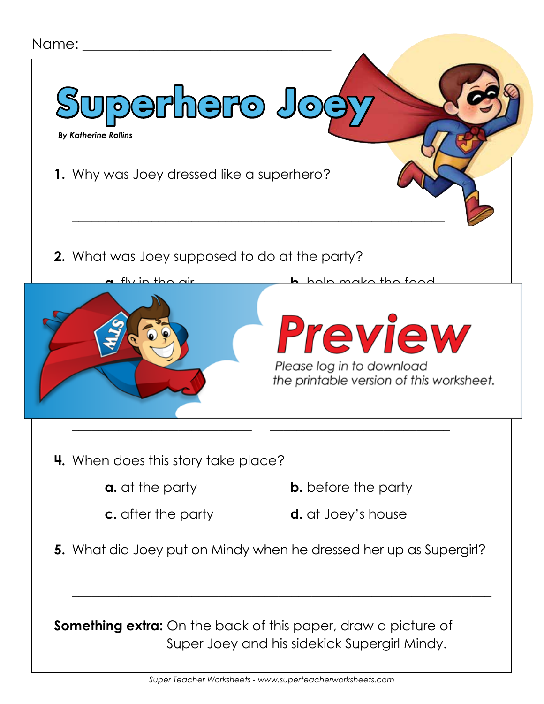

**Something extra:** On the back of this paper, draw a picture of Super Joey and his sidekick Supergirl Mindy.